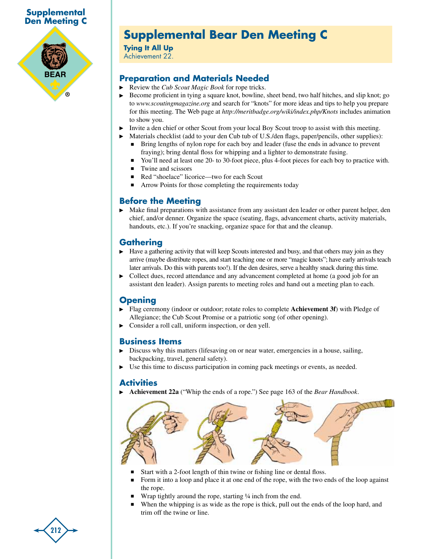### **Supplemental Den Meeting C**



# **Supplemental Bear Den Meeting C**

**Tying It All Up** Achievement 22.

### **Preparation and Materials Needed**

- Review the *Cub Scout Magic Book* for rope tricks.
- Become proficient in tying a square knot, bowline, sheet bend, two half hitches, and slip knot; go to *www.scoutingmagazine.org* and search for "knots" for more ideas and tips to help you prepare for this meeting. The Web page at *http://meritbadge.org/wiki/index.php/Knots* includes animation to show you.
- Invite a den chief or other Scout from your local Boy Scout troop to assist with this meeting.
	- Materials checklist (add to your den Cub tub of U.S./den flags, paper/pencils, other supplies): <sup>n</sup> Bring lengths of nylon rope for each boy and leader (fuse the ends in advance to prevent
		- fraying); bring dental floss for whipping and a lighter to demonstrate fusing.
		- You'll need at least one 20- to 30-foot piece, plus 4-foot pieces for each boy to practice with.
	- $\blacksquare$  Twine and scissors
	- Red "shoelace" licorice—two for each Scout
	- Arrow Points for those completing the requirements today

### **Before the Meeting**

Make final preparations with assistance from any assistant den leader or other parent helper, den chief, and/or denner. Organize the space (seating, flags, advancement charts, activity materials, handouts, etc.). If you're snacking, organize space for that and the cleanup.

### **Gathering**

- $\blacktriangleright$  Have a gathering activity that will keep Scouts interested and busy, and that others may join as they arrive (maybe distribute ropes, and start teaching one or more "magic knots"; have early arrivals teach later arrivals. Do this with parents too!). If the den desires, serve a healthy snack during this time.
- $\triangleright$  Collect dues, record attendance and any advancement completed at home (a good job for an assistant den leader). Assign parents to meeting roles and hand out a meeting plan to each.

### **Opening**

- Flag ceremony (indoor or outdoor; rotate roles to complete **Achievement 3f**) with Pledge of Allegiance; the Cub Scout Promise or a patriotic song (of other opening).
- Consider a roll call, uniform inspection, or den yell.

### **Business Items**

- Discuss why this matters (lifesaving on or near water, emergencies in a house, sailing, backpacking, travel, general safety).
- Use this time to discuss participation in coming pack meetings or events, as needed.

#### **Activities**

**Achievement 22a** ("Whip the ends of a rope.") See page 163 of the *Bear Handbook*.



- Start with a 2-foot length of thin twine or fishing line or dental floss.
- Form it into a loop and place it at one end of the rope, with the two ends of the loop against the rope.
- Wrap tightly around the rope, starting 1/4 inch from the end.
- When the whipping is as wide as the rope is thick, pull out the ends of the loop hard, and trim off the twine or line.

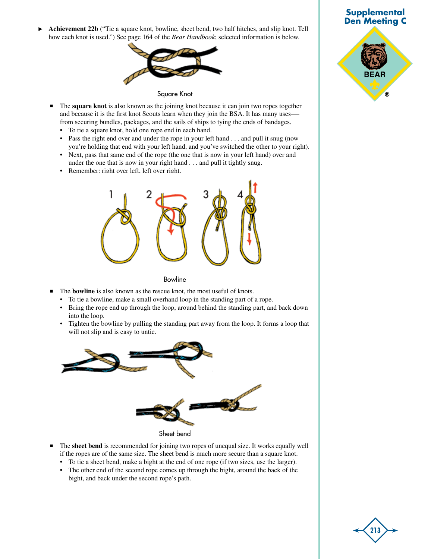**Achievement 22b** ("Tie a square knot, bowline, sheet bend, two half hitches, and slip knot. Tell ▶ how each knot is used.") See page 164 of the *Bear Handbook*; selected information is below.



Square Knot

- <sup>n</sup> The **square knot** is also known as the joining knot because it can join two ropes together and because it is the first knot Scouts learn when they join the BSA. It has many usesfrom securing bundles, packages, and the sails of ships to tying the ends of bandages.
	- To tie a square knot, hold one rope end in each hand.
	- Pass the right end over and under the rope in your left hand . . . and pull it snug (now you're holding that end with your left hand, and you've switched the other to your right).
	- Next, pass that same end of the rope (the one that is now in your left hand) over and under the one that is now in your right hand . . . and pull it tightly snug.
	- Remember: right over left, left over right.



Bowline

- **n** The **bowline** is also known as the rescue knot, the most useful of knots.
	- To tie a bowline, make a small overhand loop in the standing part of a rope.
	- Bring the rope end up through the loop, around behind the standing part, and back down into the loop.
	- Tighten the bowline by pulling the standing part away from the loop. It forms a loop that will not slip and is easy to untie.



- <sup>n</sup> The **sheet bend** is recommended for joining two ropes of unequal size. It works equally well if the ropes are of the same size. The sheet bend is much more secure than a square knot.
	- To tie a sheet bend, make a bight at the end of one rope (if two sizes, use the larger).
	- The other end of the second rope comes up through the bight, around the back of the bight, and back under the second rope's path.



**213**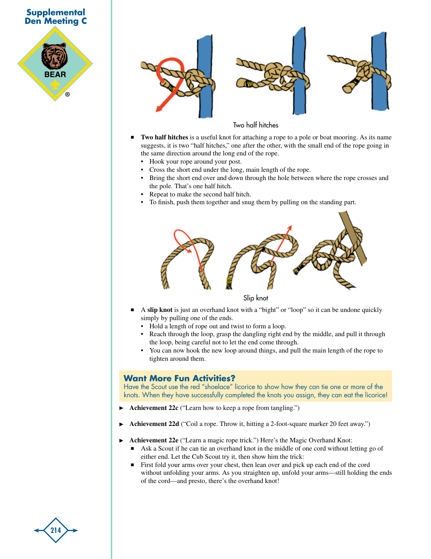







#### Two half hitches

- <sup>n</sup> **Two half hitches** is a useful knot for attaching a rope to a pole or boat mooring. As its name suggests, it is two "half hitches," one after the other, with the small end of the rope going in the same direction around the long end of the rope.
	- Hook your rope around your post.
- Cross the short end under the long, main length of the rope.
- Bring the short end over and down through the hole between where the rope crosses and the pole. That's one half hitch.
- Repeat to make the second half hitch.
- To finish, push them together and snug them by pulling on the standing part.



Slip knot

- <sup>n</sup> A **slip knot** is just an overhand knot with a "bight" or "loop" so it can be undone quickly simply by pulling one of the ends.
	- Hold a length of rope out and twist to form a loop.
	- Reach through the loop, grasp the dangling right end by the middle, and pull it through the loop, being careful not to let the end come through.
	- You can now hook the new loop around things, and pull the main length of the rope to tighten around them.

#### **Want More Fun Activities?**

Have the Scout use the red "shoelace" licorice to show how they can tie one or more of the knots. When they have successfully completed the knots you assign, they can eat the licorice!

- **Achievement 22c** ("Learn how to keep a rope from tangling.")
- **Achievement 22d** ("Coil a rope. Throw it, hitting a 2-foot-square marker 20 feet away.")
- **Achievement 22e** ("Learn a magic rope trick.") Here's the Magic Overhand Knot:
	- <sup>n</sup> Ask a Scout if he can tie an overhand knot in the middle of one cord without letting go of either end. Let the Cub Scout try it, then show him the trick:
	- <sup>n</sup> First fold your arms over your chest, then lean over and pick up each end of the cord without unfolding your arms. As you straighten up, unfold your arms—still holding the ends of the cord—and presto, there's the overhand knot!